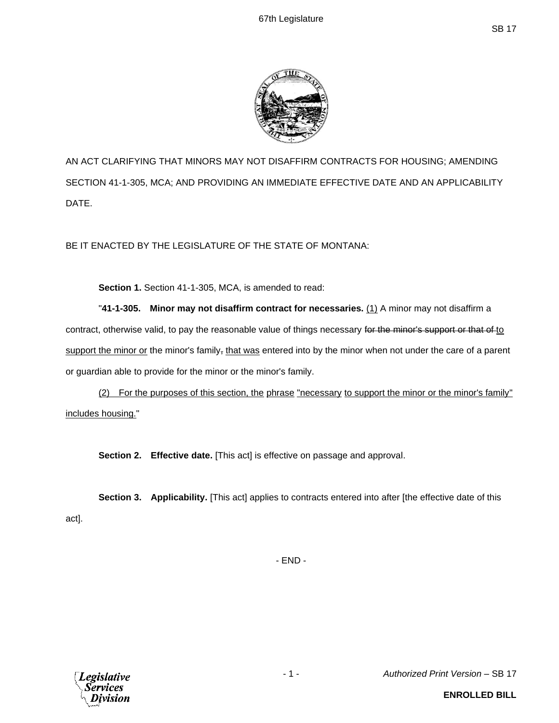

AN ACT CLARIFYING THAT MINORS MAY NOT DISAFFIRM CONTRACTS FOR HOUSING; AMENDING SECTION 41-1-305, MCA; AND PROVIDING AN IMMEDIATE EFFECTIVE DATE AND AN APPLICABILITY DATE.

BE IT ENACTED BY THE LEGISLATURE OF THE STATE OF MONTANA:

**Section 1.** Section 41-1-305, MCA, is amended to read:

"**41-1-305. Minor may not disaffirm contract for necessaries.** (1) A minor may not disaffirm a contract, otherwise valid, to pay the reasonable value of things necessary for the minor's support or that of to support the minor or the minor's family, that was entered into by the minor when not under the care of a parent or guardian able to provide for the minor or the minor's family.

(2) For the purposes of this section, the phrase "necessary to support the minor or the minor's family" includes housing."

**Section 2. Effective date.** [This act] is effective on passage and approval.

**Section 3. Applicability.** [This act] applies to contracts entered into after [the effective date of this act].

- END -



- 1 - *Authorized Print Version* – SB 17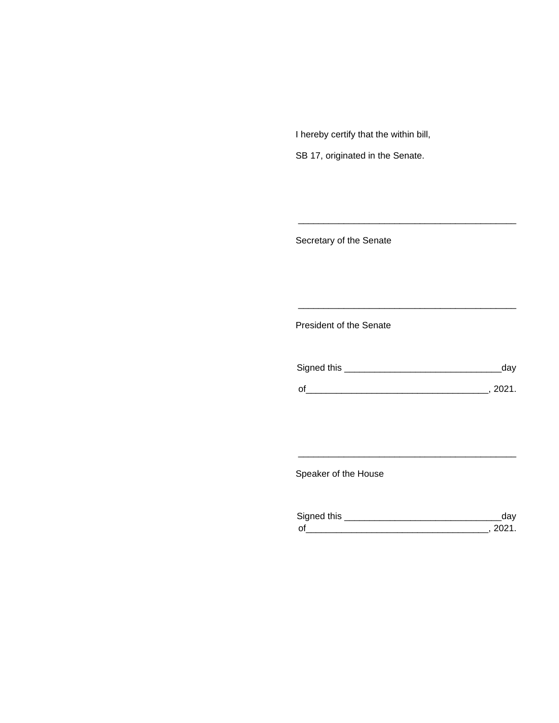I hereby certify that the within bill,

SB 17, originated in the Senate.

Secretary of the Senate

President of the Senate

| Signed this |        |
|-------------|--------|
|             |        |
| $\Omega$    | 111111 |

\_\_\_\_\_\_\_\_\_\_\_\_\_\_\_\_\_\_\_\_\_\_\_\_\_\_\_\_\_\_\_\_\_\_\_\_\_\_\_\_\_\_\_

\_\_\_\_\_\_\_\_\_\_\_\_\_\_\_\_\_\_\_\_\_\_\_\_\_\_\_\_\_\_\_\_\_\_\_\_\_\_\_\_\_\_\_

Speaker of the House

| Signed this        |  |
|--------------------|--|
| $\mathsf{\Omega}'$ |  |

\_\_\_\_\_\_\_\_\_\_\_\_\_\_\_\_\_\_\_\_\_\_\_\_\_\_\_\_\_\_\_\_\_\_\_\_\_\_\_\_\_\_\_